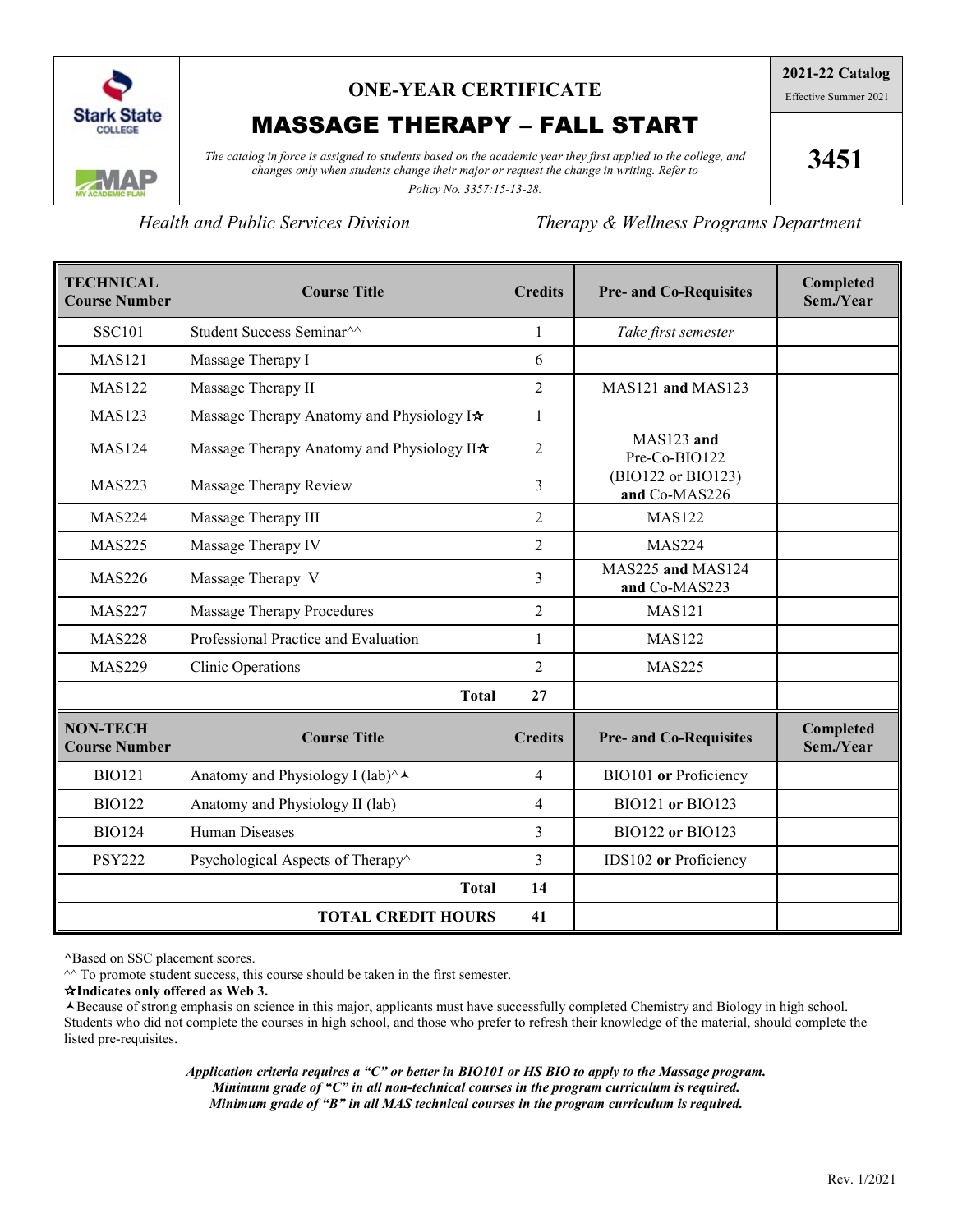

# **ONE-YEAR CERTIFICATE**

# MASSAGE THERAPY – FALL START

*The catalog in force is assigned to students based on the academic year they first applied to the college, and changes only when students change their major or request the change in writing. Refer to* 

**3451**

*Policy No. 3357:15-13-28.*

*Health and Public Services Division Therapy & Wellness Programs Department*

| <b>TECHNICAL</b><br><b>Course Number</b> | <b>Course Title</b>                                            | <b>Credits</b> | <b>Pre- and Co-Requisites</b>       | Completed<br>Sem./Year |
|------------------------------------------|----------------------------------------------------------------|----------------|-------------------------------------|------------------------|
| <b>SSC101</b>                            | Student Success Seminar <sup>^^</sup>                          | 1              | Take first semester                 |                        |
| <b>MAS121</b>                            | Massage Therapy I                                              | 6              |                                     |                        |
| <b>MAS122</b>                            | Massage Therapy II                                             | $\overline{2}$ | MAS121 and MAS123                   |                        |
| <b>MAS123</b>                            | Massage Therapy Anatomy and Physiology I*                      | $\mathbf{1}$   |                                     |                        |
| <b>MAS124</b>                            | Massage Therapy Anatomy and Physiology II*                     | $\overline{2}$ | MAS123 and<br>Pre-Co-BIO122         |                        |
| <b>MAS223</b>                            | Massage Therapy Review                                         | 3              | (BIO122 or BIO123)<br>and Co-MAS226 |                        |
| <b>MAS224</b>                            | Massage Therapy III                                            | $\overline{2}$ | <b>MAS122</b>                       |                        |
| <b>MAS225</b>                            | Massage Therapy IV                                             | $\overline{2}$ | <b>MAS224</b>                       |                        |
| <b>MAS226</b>                            | Massage Therapy V                                              | 3              | MAS225 and MAS124<br>and Co-MAS223  |                        |
| <b>MAS227</b>                            | Massage Therapy Procedures                                     | $\overline{2}$ | <b>MAS121</b>                       |                        |
| <b>MAS228</b>                            | Professional Practice and Evaluation                           | $\mathbf{1}$   | <b>MAS122</b>                       |                        |
| <b>MAS229</b>                            | <b>Clinic Operations</b>                                       | $\overline{2}$ | <b>MAS225</b>                       |                        |
| <b>Total</b>                             |                                                                |                |                                     |                        |
| <b>NON-TECH</b><br><b>Course Number</b>  | <b>Course Title</b>                                            | <b>Credits</b> | <b>Pre- and Co-Requisites</b>       | Completed<br>Sem./Year |
| <b>BIO121</b>                            | Anatomy and Physiology I (lab) $\wedge \rightarrow$            | $\overline{4}$ | BIO101 or Proficiency               |                        |
| <b>BIO122</b>                            | Anatomy and Physiology II (lab)                                | $\overline{4}$ | BIO121 or BIO123                    |                        |
| <b>BIO124</b>                            | <b>Human Diseases</b>                                          | 3              | <b>BIO122 or BIO123</b>             |                        |
| <b>PSY222</b>                            | Psychological Aspects of Therapy <sup><math>\land</math></sup> | 3              | IDS102 or Proficiency               |                        |
|                                          | <b>Total</b>                                                   | 14             |                                     |                        |
| <b>TOTAL CREDIT HOURS</b>                |                                                                |                |                                     |                        |

**^**Based on SSC placement scores.

 $\sim$  To promote student success, this course should be taken in the first semester.

**Indicates only offered as Web 3.**

Because of strong emphasis on science in this major, applicants must have successfully completed Chemistry and Biology in high school. Students who did not complete the courses in high school, and those who prefer to refresh their knowledge of the material, should complete the listed pre-requisites.

> *Application criteria requires a "C" or better in BIO101 or HS BIO to apply to the Massage program. Minimum grade of "C" in all non-technical courses in the program curriculum is required. Minimum grade of "B" in all MAS technical courses in the program curriculum is required.*

**2021-22 Catalog** Effective Summer 2021